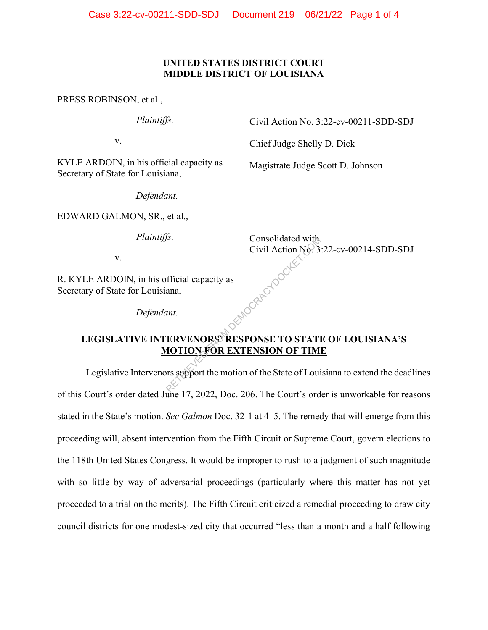## **UNITED STATES DISTRICT COURT MIDDLE DISTRICT OF LOUISIANA**

| PRESS ROBINSON, et al.,                                                                                                                                                                                                                                                                   |                                        |
|-------------------------------------------------------------------------------------------------------------------------------------------------------------------------------------------------------------------------------------------------------------------------------------------|----------------------------------------|
| Plaintiffs,                                                                                                                                                                                                                                                                               | Civil Action No. 3:22-cv-00211-SDD-SDJ |
| v.                                                                                                                                                                                                                                                                                        | Chief Judge Shelly D. Dick             |
| KYLE ARDOIN, in his official capacity as<br>Secretary of State for Louisiana,                                                                                                                                                                                                             | Magistrate Judge Scott D. Johnson      |
| Defendant.                                                                                                                                                                                                                                                                                |                                        |
| EDWARD GALMON, SR., et al.,                                                                                                                                                                                                                                                               |                                        |
| Plaintiffs,                                                                                                                                                                                                                                                                               | Consolidated with                      |
| V.                                                                                                                                                                                                                                                                                        | Civil Action No. 3:22-cv-00214-SDD-SDJ |
| R. KYLE ARDOIN, in his official capacity as<br>Secretary of State for Louisiana,                                                                                                                                                                                                          |                                        |
| Defendant.                                                                                                                                                                                                                                                                                |                                        |
| <b>LEGISLATIVE INTERVENORS RESPONSE TO STATE OF LOUISIANA'S</b><br><b>MOTION FOR EXTENSION OF TIME</b>                                                                                                                                                                                    |                                        |
| Legislative Intervenors support the motion of the State of Louisiana to extend the deadling                                                                                                                                                                                               |                                        |
| $\mathbb{R}$ as $\mathbb{R}^n$ and $\mathbb{R}^n$ are $\mathbb{R}^n$ and $\mathbb{R}^n$ are $\mathbb{R}^n$ and $\mathbb{R}^n$ are $\mathbb{R}^n$ and $\mathbb{R}^n$ are $\mathbb{R}^n$ and $\mathbb{R}^n$ are $\mathbb{R}^n$ are $\mathbb{R}^n$ and $\mathbb{R}^n$ are $\mathbb{R}^n$ are |                                        |

## **LEGISLATIVE INTERVENORS' RESPONSE TO STATE OF LOUISIANA'S MOTION FOR EXTENSION OF TIME**

Legislative Intervenors support the motion of the State of Louisiana to extend the deadlines of this Court's order dated June 17, 2022, Doc. 206. The Court's order is unworkable for reasons stated in the State's motion. *See Galmon* Doc. 32-1 at 4–5. The remedy that will emerge from this proceeding will, absent intervention from the Fifth Circuit or Supreme Court, govern elections to the 118th United States Congress. It would be improper to rush to a judgment of such magnitude with so little by way of adversarial proceedings (particularly where this matter has not yet proceeded to a trial on the merits). The Fifth Circuit criticized a remedial proceeding to draw city council districts for one modest-sized city that occurred "less than a month and a half following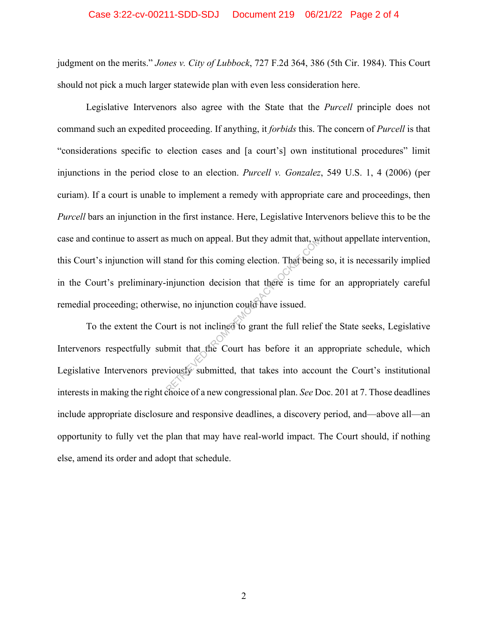## Case 3:22-cv-00211-SDD-SDJ Document 219 06/21/22 Page 2 of 4

judgment on the merits." *Jones v. City of Lubbock*, 727 F.2d 364, 386 (5th Cir. 1984). This Court should not pick a much larger statewide plan with even less consideration here.

Legislative Intervenors also agree with the State that the *Purcell* principle does not command such an expedited proceeding. If anything, it *forbids* this. The concern of *Purcell* is that "considerations specific to election cases and [a court's] own institutional procedures" limit injunctions in the period close to an election. *Purcell v. Gonzalez*, 549 U.S. 1, 4 (2006) (per curiam). If a court is unable to implement a remedy with appropriate care and proceedings, then *Purcell* bars an injunction in the first instance. Here, Legislative Intervenors believe this to be the case and continue to assert as much on appeal. But they admit that, without appellate intervention, this Court's injunction will stand for this coming election. That being so, it is necessarily implied in the Court's preliminary-injunction decision that there is time for an appropriately careful remedial proceeding; otherwise, no injunction could have issued. S much on appeal. But they admit that, we<br>stand for this coming election. That being<br>injunction decision that there is time 1<br>vise, no injunction could have issued.<br>urt is not inclined to grant the full relief<br>omit that th

To the extent the Court is not inclined to grant the full relief the State seeks, Legislative Intervenors respectfully submit that the Court has before it an appropriate schedule, which Legislative Intervenors previously submitted, that takes into account the Court's institutional interests in making the right choice of a new congressional plan. *See* Doc. 201 at 7. Those deadlines include appropriate disclosure and responsive deadlines, a discovery period, and—above all—an opportunity to fully vet the plan that may have real-world impact. The Court should, if nothing else, amend its order and adopt that schedule.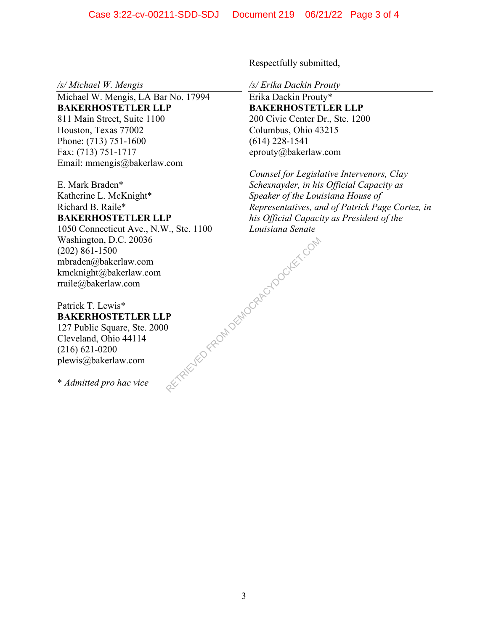*/s/ Michael W. Mengis* 

Michael W. Mengis, LA Bar No. 17994 **BAKERHOSTETLER LLP**  811 Main Street, Suite 1100 Houston, Texas 77002 Phone: (713) 751-1600 Fax: (713) 751-1717 Email: mmengis@bakerlaw.com

E. Mark Braden\* Katherine L. McKnight\* Richard B. Raile\* **BAKERHOSTETLER LLP** 

1050 Connecticut Ave., N.W., Ste. 1100 Washington, D.C. 20036 (202) 861-1500 mbraden@bakerlaw.com kmcknight@bakerlaw.com rraile@bakerlaw.com RETRIEVED FROM DEMOCRACYDOCKET.COM

Patrick T. Lewis\* **BAKERHOSTETLER LLP**  127 Public Square, Ste. 2000 Cleveland, Ohio 44114 (216) 621-0200 plewis@bakerlaw.com

\* *Admitted pro hac vice* 

Respectfully submitted,

*/s/ Erika Dackin Prouty* 

Erika Dackin Prouty\* **BAKERHOSTETLER LLP**  200 Civic Center Dr., Ste. 1200 Columbus, Ohio 43215 (614) 228-1541 eprouty@bakerlaw.com

*Counsel for Legislative Intervenors, Clay Schexnayder, in his Official Capacity as Speaker of the Louisiana House of Representatives, and of Patrick Page Cortez, in his Official Capacity as President of the Louisiana Senate*